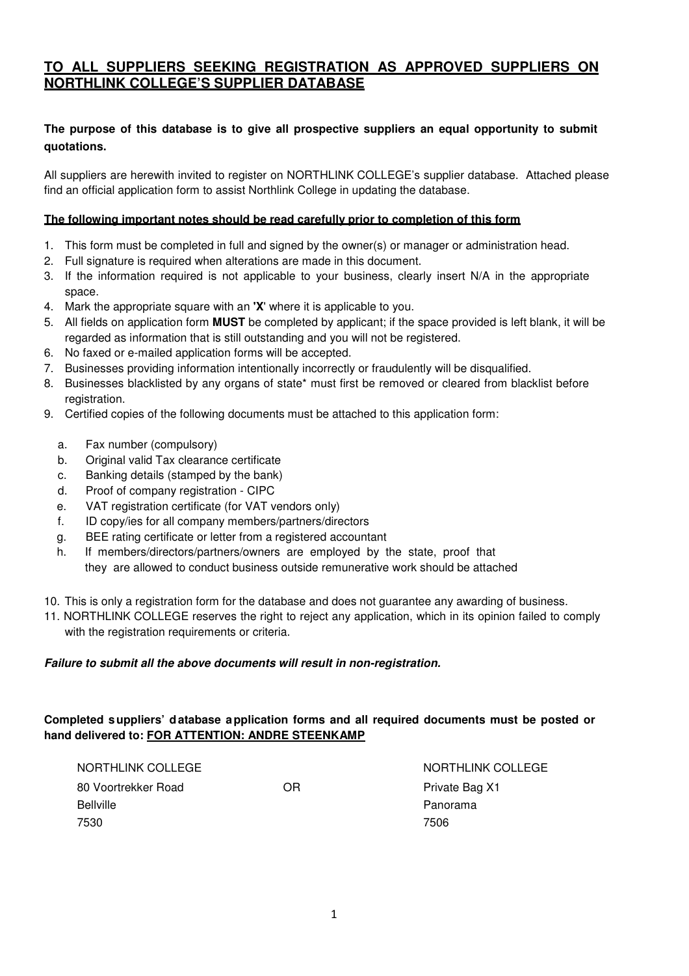# **TO ALL SUPPLIERS SEEKING REGISTRATION AS APPROVED SUPPLIERS ON NORTHLINK COLLEGE'S SUPPLIER DATABASE**

# **The purpose of this database is to give all prospective suppliers an equal opportunity to submit quotations.**

All suppliers are herewith invited to register on NORTHLINK COLLEGE's supplier database. Attached please find an official application form to assist Northlink College in updating the database.

#### **The following important notes should be read carefully prior to completion of this form**

- 1. This form must be completed in full and signed by the owner(s) or manager or administration head.
- 2. Full signature is required when alterations are made in this document.
- 3. If the information required is not applicable to your business, clearly insert N/A in the appropriate space.
- 4. Mark the appropriate square with an **'X**' where it is applicable to you.
- 5. All fields on application form **MUST** be completed by applicant; if the space provided is left blank, it will be regarded as information that is still outstanding and you will not be registered.
- 6. No faxed or e-mailed application forms will be accepted.
- 7. Businesses providing information intentionally incorrectly or fraudulently will be disqualified.
- 8. Businesses blacklisted by any organs of state\* must first be removed or cleared from blacklist before registration.
- 9. Certified copies of the following documents must be attached to this application form:
	- a. Fax number (compulsory)
	- b. Original valid Tax clearance certificate
	- c. Banking details (stamped by the bank)
	- d. Proof of company registration CIPC
	- e. VAT registration certificate (for VAT vendors only)
	- f. ID copy/ies for all company members/partners/directors
	- g. BEE rating certificate or letter from a registered accountant
	- h. If members/directors/partners/owners are employed by the state, proof that they are allowed to conduct business outside remunerative work should be attached
- 10. This is only a registration form for the database and does not guarantee any awarding of business.
- 11. NORTHLINK COLLEGE reserves the right to reject any application, which in its opinion failed to comply with the registration requirements or criteria.

#### **Failure to submit all the above documents will result in non-registration.**

# **Completed suppliers' database application forms and all required documents must be posted or hand delivered to: FOR ATTENTION: ANDRE STEENKAMP**

| NORTHLINK COLLEGE   |    | NORTHLINK COLLEGE |
|---------------------|----|-------------------|
| 80 Voortrekker Road | OR | Private Bag X1    |
| <b>Bellville</b>    |    | Panorama          |
| 7530                |    | 7506              |